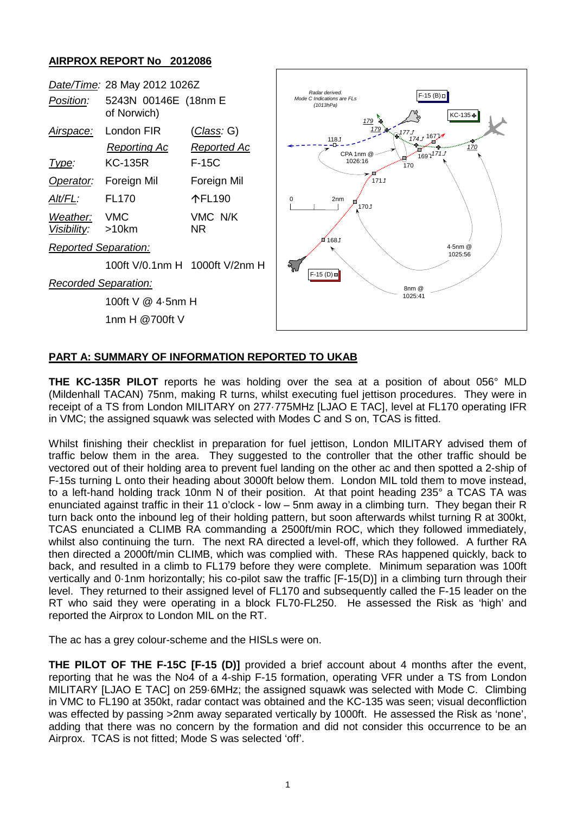## **AIRPROX REPORT No 2012086**



## **PART A: SUMMARY OF INFORMATION REPORTED TO UKAB**

**THE KC-135R PILOT** reports he was holding over the sea at a position of about 056° MLD (Mildenhall TACAN) 75nm, making R turns, whilst executing fuel jettison procedures. They were in receipt of a TS from London MILITARY on 277·775MHz [LJAO E TAC], level at FL170 operating IFR in VMC; the assigned squawk was selected with Modes C and S on, TCAS is fitted.

Whilst finishing their checklist in preparation for fuel jettison, London MILITARY advised them of traffic below them in the area. They suggested to the controller that the other traffic should be vectored out of their holding area to prevent fuel landing on the other ac and then spotted a 2-ship of F-15s turning L onto their heading about 3000ft below them. London MIL told them to move instead, to a left-hand holding track 10nm N of their position. At that point heading 235° a TCAS TA was enunciated against traffic in their 11 o'clock - low – 5nm away in a climbing turn. They began their R turn back onto the inbound leg of their holding pattern, but soon afterwards whilst turning R at 300kt, TCAS enunciated a CLIMB RA commanding a 2500ft/min ROC, which they followed immediately, whilst also continuing the turn. The next RA directed a level-off, which they followed. A further RA then directed a 2000ft/min CLIMB, which was complied with. These RAs happened quickly, back to back, and resulted in a climb to FL179 before they were complete. Minimum separation was 100ft vertically and 0·1nm horizontally; his co-pilot saw the traffic [F-15(D)] in a climbing turn through their level. They returned to their assigned level of FL170 and subsequently called the F-15 leader on the RT who said they were operating in a block FL70-FL250. He assessed the Risk as 'high' and reported the Airprox to London MIL on the RT.

The ac has a grey colour-scheme and the HISLs were on.

**THE PILOT OF THE F-15C [F-15 (D)]** provided a brief account about 4 months after the event, reporting that he was the No4 of a 4-ship F-15 formation, operating VFR under a TS from London MILITARY [LJAO E TAC] on 259·6MHz; the assigned squawk was selected with Mode C. Climbing in VMC to FL190 at 350kt, radar contact was obtained and the KC-135 was seen; visual deconfliction was effected by passing >2nm away separated vertically by 1000ft. He assessed the Risk as 'none', adding that there was no concern by the formation and did not consider this occurrence to be an Airprox. TCAS is not fitted; Mode S was selected 'off'.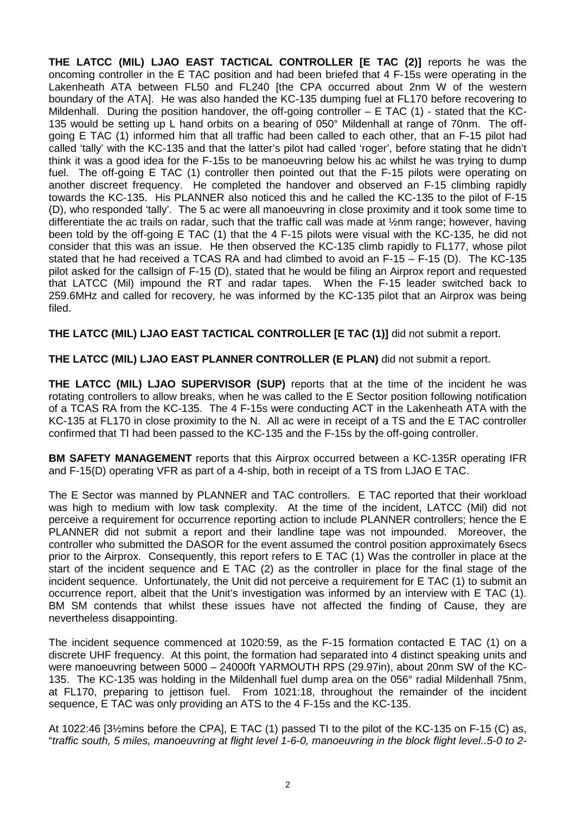**THE LATCC (MIL) LJAO EAST TACTICAL CONTROLLER [E TAC (2)]** reports he was the oncoming controller in the E TAC position and had been briefed that 4 F-15s were operating in the Lakenheath ATA between FL50 and FL240 [the CPA occurred about 2nm W of the western boundary of the ATA]. He was also handed the KC-135 dumping fuel at FL170 before recovering to Mildenhall. During the position handover, the off-going controller  $-$  E TAC (1) - stated that the KC-135 would be setting up L hand orbits on a bearing of 050° Mildenhall at range of 70nm. The offgoing E TAC (1) informed him that all traffic had been called to each other, that an F-15 pilot had called 'tally' with the KC-135 and that the latter's pilot had called 'roger', before stating that he didn't think it was a good idea for the F-15s to be manoeuvring below his ac whilst he was trying to dump fuel. The off-going E TAC (1) controller then pointed out that the F-15 pilots were operating on another discreet frequency. He completed the handover and observed an F-15 climbing rapidly towards the KC-135. His PLANNER also noticed this and he called the KC-135 to the pilot of F-15 (D), who responded 'tally'. The 5 ac were all manoeuvring in close proximity and it took some time to differentiate the ac trails on radar, such that the traffic call was made at ½nm range; however, having been told by the off-going E TAC (1) that the 4 F-15 pilots were visual with the KC-135, he did not consider that this was an issue. He then observed the KC-135 climb rapidly to FL177, whose pilot stated that he had received a TCAS RA and had climbed to avoid an F-15 – F-15 (D). The KC-135 pilot asked for the callsign of F-15 (D), stated that he would be filing an Airprox report and requested that LATCC (Mil) impound the RT and radar tapes. When the F-15 leader switched back to 259.6MHz and called for recovery, he was informed by the KC-135 pilot that an Airprox was being filed.

**THE LATCC (MIL) LJAO EAST TACTICAL CONTROLLER [E TAC (1)]** did not submit a report.

**THE LATCC (MIL) LJAO EAST PLANNER CONTROLLER (E PLAN)** did not submit a report.

**THE LATCC (MIL) LJAO SUPERVISOR (SUP)** reports that at the time of the incident he was rotating controllers to allow breaks, when he was called to the E Sector position following notification of a TCAS RA from the KC-135. The 4 F-15s were conducting ACT in the Lakenheath ATA with the KC-135 at FL170 in close proximity to the N. All ac were in receipt of a TS and the E TAC controller confirmed that TI had been passed to the KC-135 and the F-15s by the off-going controller.

**BM SAFETY MANAGEMENT** reports that this Airprox occurred between a KC-135R operating IFR and F-15(D) operating VFR as part of a 4-ship, both in receipt of a TS from LJAO E TAC.

The E Sector was manned by PLANNER and TAC controllers. E TAC reported that their workload was high to medium with low task complexity. At the time of the incident, LATCC (Mil) did not perceive a requirement for occurrence reporting action to include PLANNER controllers; hence the E PLANNER did not submit a report and their landline tape was not impounded. Moreover, the controller who submitted the DASOR for the event assumed the control position approximately 6secs prior to the Airprox. Consequently, this report refers to E TAC (1) Was the controller in place at the start of the incident sequence and E TAC (2) as the controller in place for the final stage of the incident sequence. Unfortunately, the Unit did not perceive a requirement for E TAC (1) to submit an occurrence report, albeit that the Unit's investigation was informed by an interview with E TAC (1). BM SM contends that whilst these issues have not affected the finding of Cause, they are nevertheless disappointing.

The incident sequence commenced at 1020:59, as the F-15 formation contacted E TAC (1) on a discrete UHF frequency. At this point, the formation had separated into 4 distinct speaking units and were manoeuvring between 5000 – 24000ft YARMOUTH RPS (29.97in), about 20nm SW of the KC-135. The KC-135 was holding in the Mildenhall fuel dump area on the 056° radial Mildenhall 75nm, at FL170, preparing to jettison fuel. From 1021:18, throughout the remainder of the incident sequence, E TAC was only providing an ATS to the 4 F-15s and the KC-135.

At 1022:46 [3½mins before the CPA], E TAC (1) passed TI to the pilot of the KC-135 on F-15 (C) as, "*traffic south, 5 miles, manoeuvring at flight level 1-6-0, manoeuvring in the block flight level..5-0 to 2-*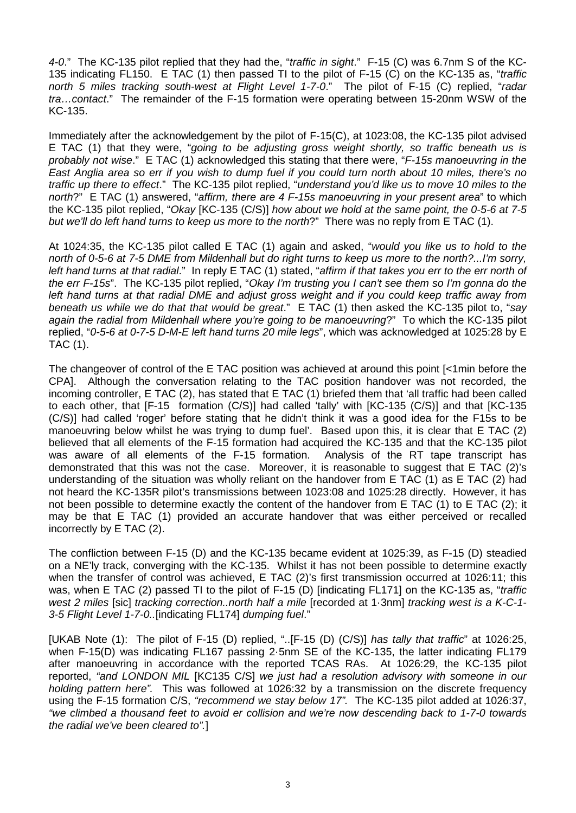*4-0*." The KC-135 pilot replied that they had the, "*traffic in sight*." F-15 (C) was 6.7nm S of the KC-135 indicating FL150. E TAC (1) then passed TI to the pilot of F-15 (C) on the KC-135 as, "*traffic north 5 miles tracking south-west at Flight Level 1-7-0*." The pilot of F-15 (C) replied, "*radar tra…contact*." The remainder of the F-15 formation were operating between 15-20nm WSW of the KC-135.

Immediately after the acknowledgement by the pilot of F-15(C), at 1023:08, the KC-135 pilot advised E TAC (1) that they were, "*going to be adjusting gross weight shortly, so traffic beneath us is probably not wise*." E TAC (1) acknowledged this stating that there were, "*F-15s manoeuvring in the East Anglia area so err if you wish to dump fuel if you could turn north about 10 miles, there's no traffic up there to effect*." The KC-135 pilot replied, "*understand you'd like us to move 10 miles to the north*?" E TAC (1) answered, "*affirm, there are 4 F-15s manoeuvring in your present area*" to which the KC-135 pilot replied, "*Okay* [KC-135 (C/S)] *how about we hold at the same point, the 0-5-6 at 7-5 but we'll do left hand turns to keep us more to the north*?" There was no reply from E TAC (1).

At 1024:35, the KC-135 pilot called E TAC (1) again and asked, "*would you like us to hold to the north of 0-5-6 at 7-5 DME from Mildenhall but do right turns to keep us more to the north?...I'm sorry, left hand turns at that radial*." In reply E TAC (1) stated, "*affirm if that takes you err to the err north of the err F-15s*". The KC-135 pilot replied, "*Okay I'm trusting you I can't see them so I'm gonna do the left hand turns at that radial DME and adjust gross weight and if you could keep traffic away from beneath us while we do that that would be great*." E TAC (1) then asked the KC-135 pilot to, "*say again the radial from Mildenhall where you're going to be manoeuvring*?" To which the KC-135 pilot replied, "*0-5-6 at 0-7-5 D-M-E left hand turns 20 mile legs*", which was acknowledged at 1025:28 by E TAC (1).

The changeover of control of the E TAC position was achieved at around this point [<1min before the CPA]. Although the conversation relating to the TAC position handover was not recorded, the incoming controller, E TAC (2), has stated that E TAC (1) briefed them that 'all traffic had been called to each other, that [F-15 formation (C/S)] had called 'tally' with [KC-135 (C/S)] and that [KC-135 (C/S)] had called 'roger' before stating that he didn't think it was a good idea for the F15s to be manoeuvring below whilst he was trying to dump fuel'. Based upon this, it is clear that E TAC (2) believed that all elements of the F-15 formation had acquired the KC-135 and that the KC-135 pilot was aware of all elements of the F-15 formation. Analysis of the RT tape transcript has demonstrated that this was not the case. Moreover, it is reasonable to suggest that E TAC (2)'s understanding of the situation was wholly reliant on the handover from E TAC (1) as E TAC (2) had not heard the KC-135R pilot's transmissions between 1023:08 and 1025:28 directly. However, it has not been possible to determine exactly the content of the handover from E TAC (1) to E TAC (2); it may be that E TAC (1) provided an accurate handover that was either perceived or recalled incorrectly by E TAC (2).

The confliction between F-15 (D) and the KC-135 became evident at 1025:39, as F-15 (D) steadied on a NE'ly track, converging with the KC-135. Whilst it has not been possible to determine exactly when the transfer of control was achieved, E TAC (2)'s first transmission occurred at 1026:11; this was, when E TAC (2) passed TI to the pilot of F-15 (D) [indicating FL171] on the KC-135 as, "*traffic west 2 miles* [sic] *tracking correction..north half a mile* [recorded at 1·3nm] *tracking west is a K-C-1- 3-5 Flight Level 1-7-0..*[indicating FL174] *dumping fuel*."

[UKAB Note (1): The pilot of F-15 (D) replied, "..[F-15 (D) (C/S)] *has tally that traffic*" at 1026:25, when F-15(D) was indicating FL167 passing 2.5nm SE of the KC-135, the latter indicating FL179 after manoeuvring in accordance with the reported TCAS RAs. At 1026:29, the KC-135 pilot reported, *"and LONDON MIL* [KC135 C/S] *we just had a resolution advisory with someone in our holding pattern here".* This was followed at 1026:32 by a transmission on the discrete frequency using the F-15 formation C/S, *"recommend we stay below 17".* The KC-135 pilot added at 1026:37, *"we climbed a thousand feet to avoid er collision and we're now descending back to 1-7-0 towards the radial we've been cleared to".*]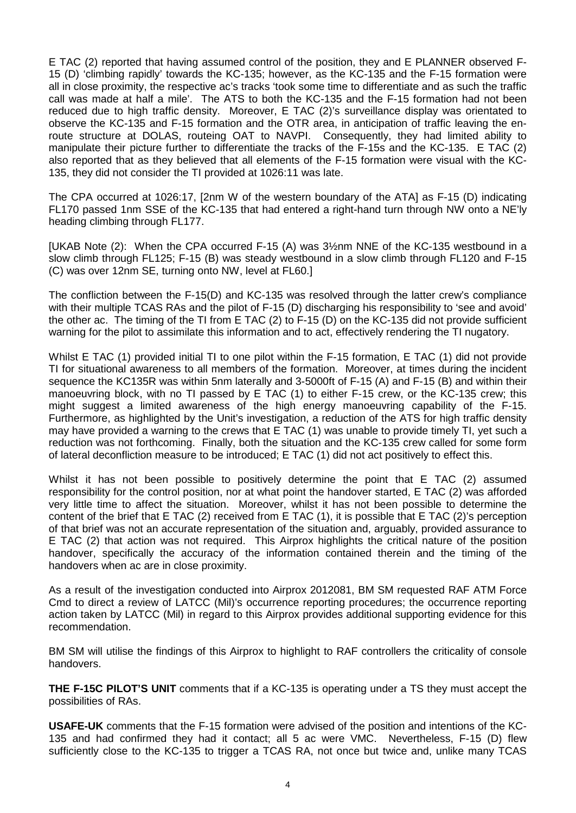E TAC (2) reported that having assumed control of the position, they and E PLANNER observed F-15 (D) 'climbing rapidly' towards the KC-135; however, as the KC-135 and the F-15 formation were all in close proximity, the respective ac's tracks 'took some time to differentiate and as such the traffic call was made at half a mile'. The ATS to both the KC-135 and the F-15 formation had not been reduced due to high traffic density. Moreover, E TAC (2)'s surveillance display was orientated to observe the KC-135 and F-15 formation and the OTR area, in anticipation of traffic leaving the enroute structure at DOLAS, routeing OAT to NAVPI. Consequently, they had limited ability to manipulate their picture further to differentiate the tracks of the F-15s and the KC-135. E TAC (2) also reported that as they believed that all elements of the F-15 formation were visual with the KC-135, they did not consider the TI provided at 1026:11 was late.

The CPA occurred at 1026:17, [2nm W of the western boundary of the ATA] as F-15 (D) indicating FL170 passed 1nm SSE of the KC-135 that had entered a right-hand turn through NW onto a NE'ly heading climbing through FL177.

[UKAB Note (2): When the CPA occurred F-15 (A) was 3½nm NNE of the KC-135 westbound in a slow climb through FL125; F-15 (B) was steady westbound in a slow climb through FL120 and F-15 (C) was over 12nm SE, turning onto NW, level at FL60.]

The confliction between the F-15(D) and KC-135 was resolved through the latter crew's compliance with their multiple TCAS RAs and the pilot of F-15 (D) discharging his responsibility to 'see and avoid' the other ac. The timing of the TI from E TAC (2) to F-15 (D) on the KC-135 did not provide sufficient warning for the pilot to assimilate this information and to act, effectively rendering the TI nugatory.

Whilst E TAC (1) provided initial TI to one pilot within the F-15 formation, E TAC (1) did not provide TI for situational awareness to all members of the formation. Moreover, at times during the incident sequence the KC135R was within 5nm laterally and 3-5000ft of F-15 (A) and F-15 (B) and within their manoeuvring block, with no TI passed by E TAC (1) to either F-15 crew, or the KC-135 crew; this might suggest a limited awareness of the high energy manoeuvring capability of the F-15. Furthermore, as highlighted by the Unit's investigation, a reduction of the ATS for high traffic density may have provided a warning to the crews that E TAC (1) was unable to provide timely TI, yet such a reduction was not forthcoming. Finally, both the situation and the KC-135 crew called for some form of lateral deconfliction measure to be introduced; E TAC (1) did not act positively to effect this.

Whilst it has not been possible to positively determine the point that E TAC (2) assumed responsibility for the control position, nor at what point the handover started, E TAC (2) was afforded very little time to affect the situation. Moreover, whilst it has not been possible to determine the content of the brief that E TAC (2) received from E TAC (1), it is possible that E TAC (2)'s perception of that brief was not an accurate representation of the situation and, arguably, provided assurance to E TAC (2) that action was not required. This Airprox highlights the critical nature of the position handover, specifically the accuracy of the information contained therein and the timing of the handovers when ac are in close proximity.

As a result of the investigation conducted into Airprox 2012081, BM SM requested RAF ATM Force Cmd to direct a review of LATCC (Mil)'s occurrence reporting procedures; the occurrence reporting action taken by LATCC (Mil) in regard to this Airprox provides additional supporting evidence for this recommendation.

BM SM will utilise the findings of this Airprox to highlight to RAF controllers the criticality of console handovers.

**THE F-15C PILOT'S UNIT** comments that if a KC-135 is operating under a TS they must accept the possibilities of RAs.

**USAFE-UK** comments that the F-15 formation were advised of the position and intentions of the KC-135 and had confirmed they had it contact; all 5 ac were VMC. Nevertheless, F-15 (D) flew sufficiently close to the KC-135 to trigger a TCAS RA, not once but twice and, unlike many TCAS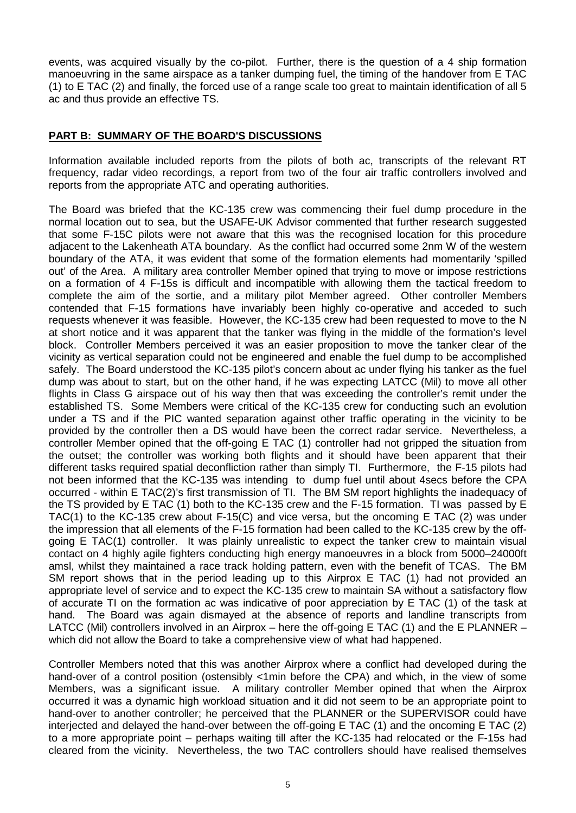events, was acquired visually by the co-pilot. Further, there is the question of a 4 ship formation manoeuvring in the same airspace as a tanker dumping fuel, the timing of the handover from E TAC (1) to E TAC (2) and finally, the forced use of a range scale too great to maintain identification of all 5 ac and thus provide an effective TS.

## **PART B: SUMMARY OF THE BOARD'S DISCUSSIONS**

Information available included reports from the pilots of both ac, transcripts of the relevant RT frequency, radar video recordings, a report from two of the four air traffic controllers involved and reports from the appropriate ATC and operating authorities.

The Board was briefed that the KC-135 crew was commencing their fuel dump procedure in the normal location out to sea, but the USAFE-UK Advisor commented that further research suggested that some F-15C pilots were not aware that this was the recognised location for this procedure adjacent to the Lakenheath ATA boundary. As the conflict had occurred some 2nm W of the western boundary of the ATA, it was evident that some of the formation elements had momentarily 'spilled out' of the Area. A military area controller Member opined that trying to move or impose restrictions on a formation of 4 F-15s is difficult and incompatible with allowing them the tactical freedom to complete the aim of the sortie, and a military pilot Member agreed. Other controller Members contended that F-15 formations have invariably been highly co-operative and acceded to such requests whenever it was feasible. However, the KC-135 crew had been requested to move to the N at short notice and it was apparent that the tanker was flying in the middle of the formation's level block. Controller Members perceived it was an easier proposition to move the tanker clear of the vicinity as vertical separation could not be engineered and enable the fuel dump to be accomplished safely. The Board understood the KC-135 pilot's concern about ac under flying his tanker as the fuel dump was about to start, but on the other hand, if he was expecting LATCC (Mil) to move all other flights in Class G airspace out of his way then that was exceeding the controller's remit under the established TS. Some Members were critical of the KC-135 crew for conducting such an evolution under a TS and if the PIC wanted separation against other traffic operating in the vicinity to be provided by the controller then a DS would have been the correct radar service. Nevertheless, a controller Member opined that the off-going E TAC (1) controller had not gripped the situation from the outset; the controller was working both flights and it should have been apparent that their different tasks required spatial deconfliction rather than simply TI. Furthermore, the F-15 pilots had not been informed that the KC-135 was intending to dump fuel until about 4secs before the CPA occurred - within E TAC(2)'s first transmission of TI. The BM SM report highlights the inadequacy of the TS provided by E TAC (1) both to the KC-135 crew and the F-15 formation. TI was passed by E TAC(1) to the KC-135 crew about F-15(C) and vice versa, but the oncoming E TAC (2) was under the impression that all elements of the F-15 formation had been called to the KC-135 crew by the offgoing E TAC(1) controller. It was plainly unrealistic to expect the tanker crew to maintain visual contact on 4 highly agile fighters conducting high energy manoeuvres in a block from 5000–24000ft amsl, whilst they maintained a race track holding pattern, even with the benefit of TCAS. The BM SM report shows that in the period leading up to this Airprox E TAC (1) had not provided an appropriate level of service and to expect the KC-135 crew to maintain SA without a satisfactory flow of accurate TI on the formation ac was indicative of poor appreciation by E TAC (1) of the task at hand. The Board was again dismayed at the absence of reports and landline transcripts from LATCC (Mil) controllers involved in an Airprox – here the off-going E TAC (1) and the E PLANNER – which did not allow the Board to take a comprehensive view of what had happened.

Controller Members noted that this was another Airprox where a conflict had developed during the hand-over of a control position (ostensibly <1min before the CPA) and which, in the view of some Members, was a significant issue. A military controller Member opined that when the Airprox occurred it was a dynamic high workload situation and it did not seem to be an appropriate point to hand-over to another controller; he perceived that the PLANNER or the SUPERVISOR could have interjected and delayed the hand-over between the off-going E TAC (1) and the oncoming E TAC (2) to a more appropriate point – perhaps waiting till after the KC-135 had relocated or the F-15s had cleared from the vicinity. Nevertheless, the two TAC controllers should have realised themselves